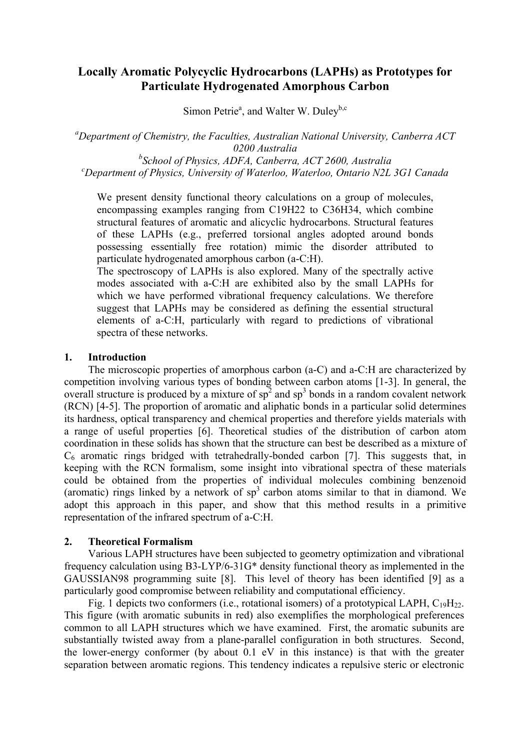# **Locally Aromatic Polycyclic Hydrocarbons (LAPHs) as Prototypes for Particulate Hydrogenated Amorphous Carbon**

Simon Petrie<sup>a</sup>, and Walter W. Duley<sup>b,c</sup>

*a Department of Chemistry, the Faculties, Australian National University, Canberra ACT 0200 Australia* 

<sup>*b*</sup> *School of Physics, ADFA, Canberra, ACT 2600, Australia*<br>
<sup>c</sup> Department of Physics, University of Waterlee, Waterlee, Ontario N2L *Department of Physics, University of Waterloo, Waterloo, Ontario N2L 3G1 Canada* 

We present density functional theory calculations on a group of molecules, encompassing examples ranging from C19H22 to C36H34, which combine structural features of aromatic and alicyclic hydrocarbons. Structural features of these LAPHs (e.g., preferred torsional angles adopted around bonds possessing essentially free rotation) mimic the disorder attributed to particulate hydrogenated amorphous carbon (a-C:H).

The spectroscopy of LAPHs is also explored. Many of the spectrally active modes associated with a-C:H are exhibited also by the small LAPHs for which we have performed vibrational frequency calculations. We therefore suggest that LAPHs may be considered as defining the essential structural elements of a-C:H, particularly with regard to predictions of vibrational spectra of these networks.

#### **1. Introduction**

The microscopic properties of amorphous carbon (a-C) and a-C:H are characterized by competition involving various types of bonding between carbon atoms [1-3]. In general, the overall structure is produced by a mixture of  $sp^2$  and  $sp^3$  bonds in a random covalent network (RCN) [4-5]. The proportion of aromatic and aliphatic bonds in a particular solid determines its hardness, optical transparency and chemical properties and therefore yields materials with a range of useful properties [6]. Theoretical studies of the distribution of carbon atom coordination in these solids has shown that the structure can best be described as a mixture of  $C_6$  aromatic rings bridged with tetrahedrally-bonded carbon [7]. This suggests that, in keeping with the RCN formalism, some insight into vibrational spectra of these materials could be obtained from the properties of individual molecules combining benzenoid (aromatic) rings linked by a network of  $sp<sup>3</sup>$  carbon atoms similar to that in diamond. We adopt this approach in this paper, and show that this method results in a primitive representation of the infrared spectrum of a-C:H.

#### **2. Theoretical Formalism**

Various LAPH structures have been subjected to geometry optimization and vibrational frequency calculation using B3-LYP/6-31G\* density functional theory as implemented in the GAUSSIAN98 programming suite [8]. This level of theory has been identified [9] as a particularly good compromise between reliability and computational efficiency.

Fig. 1 depicts two conformers (i.e., rotational isomers) of a prototypical LAPH,  $C_1 \text{PH}_2$ . This figure (with aromatic subunits in red) also exemplifies the morphological preferences common to all LAPH structures which we have examined. First, the aromatic subunits are substantially twisted away from a plane-parallel configuration in both structures. Second, the lower-energy conformer (by about 0.1 eV in this instance) is that with the greater separation between aromatic regions. This tendency indicates a repulsive steric or electronic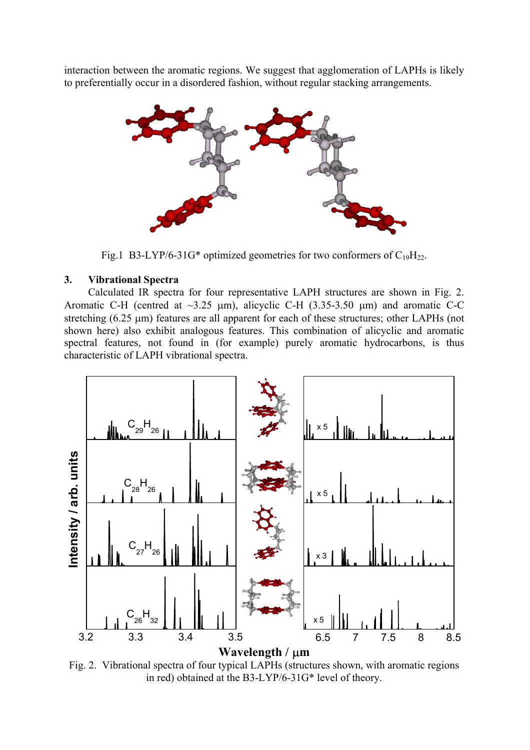interaction between the aromatic regions. We suggest that agglomeration of LAPHs is likely to preferentially occur in a disordered fashion, without regular stacking arrangements.



Fig.1 B3-LYP/6-31G\* optimized geometries for two conformers of  $C_{19}H_{22}$ .

### **3. Vibrational Spectra**

Calculated IR spectra for four representative LAPH structures are shown in Fig. 2. Aromatic C-H (centred at  $\sim$ 3.25 µm), alicyclic C-H (3.35-3.50 µm) and aromatic C-C stretching (6.25 µm) features are all apparent for each of these structures; other LAPHs (not shown here) also exhibit analogous features. This combination of alicyclic and aromatic spectral features, not found in (for example) purely aromatic hydrocarbons, is thus characteristic of LAPH vibrational spectra.



Fig. 2. Vibrational spectra of four typical LAPHs (structures shown, with aromatic regions in red) obtained at the B3-LYP/6-31G\* level of theory.